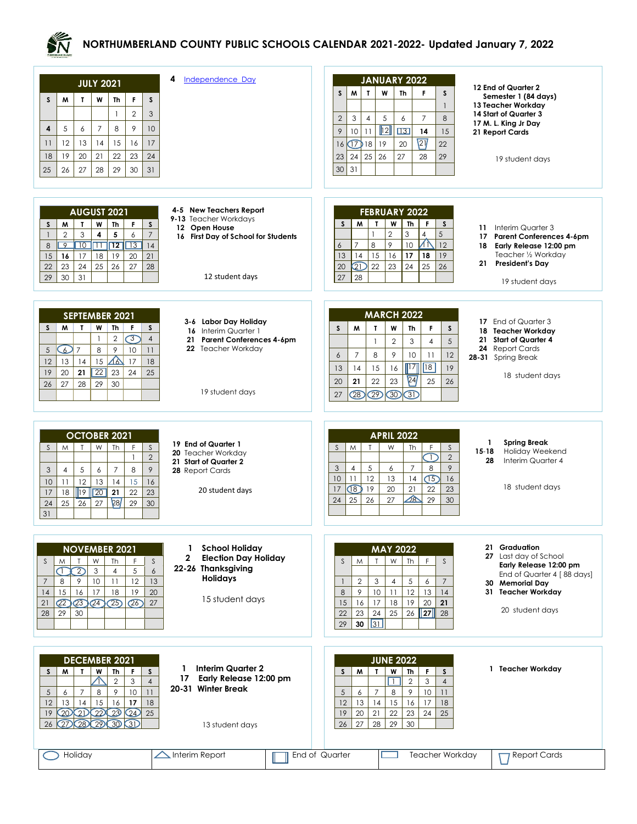

## **NORTHUMBERLAND COUNTY PUBLIC SCHOOLS CALENDAR 2021-2022- Updated January 7, 2022**

| Independence Day<br>4<br><b>JULY 2021</b><br>$\mathsf{s}$<br>$\mathsf{s}$<br>M<br>$\mathbf{r}$<br>W<br>F<br>Th<br>$\overline{2}$<br>$\mathbf{1}$<br>3<br>8<br>9<br>4<br>5<br>6<br>$\overline{7}$<br>10<br>15<br>12<br>13<br>14<br>16<br>17<br>11<br>19<br>20<br>21<br>22<br>23<br>18<br>24<br>26<br>28<br>30<br>31<br>25<br>27<br>29                                                                                                                                                                                        | <b>JANUARY 2022</b><br>12 End of Quarter 2<br>$\mathsf{M}$<br>$\mathbf{I}$<br>W<br>$\mathsf{s}$<br><b>Th</b><br>F<br>S<br>Semester 1 (84 days)<br>13 Teacher Workday<br>$\mathbf{1}$<br>14 Start of Quarter 3<br>3<br>5<br>$\overline{7}$<br>$\overline{2}$<br>$\overline{4}$<br>6<br>8<br>17 M. L. King Jr Day<br>$\overline{12}$<br>10<br>$\boxed{13}$<br>9<br>14<br>11<br>15<br>21 Report Cards<br>$\sqrt{21}$<br>$\sqrt{7}18$<br>19<br>20<br>22<br>16<br>23<br>24<br>25<br>26<br>27<br>28<br>29<br>19 student days<br>30<br>31 |
|-----------------------------------------------------------------------------------------------------------------------------------------------------------------------------------------------------------------------------------------------------------------------------------------------------------------------------------------------------------------------------------------------------------------------------------------------------------------------------------------------------------------------------|------------------------------------------------------------------------------------------------------------------------------------------------------------------------------------------------------------------------------------------------------------------------------------------------------------------------------------------------------------------------------------------------------------------------------------------------------------------------------------------------------------------------------------|
| 4-5 New Teachers Report<br><b>AUGUST 2021</b><br>9-13 Teacher Workdays<br>$\mathbf{r}$<br>W<br>Th<br>s<br>M<br>F.<br>S<br>12 Open House<br>$\overline{2}$<br>3<br>4<br>5<br>$\overline{7}$<br>6<br>$\overline{1}$<br>16 First Day of School for Students<br>$\overline{10}$ $\overline{11}$ $\overline{12}$<br>$\overline{13}$<br>$\overline{9}$<br>14<br>8<br>17<br>18<br>19<br>15<br>16<br>20<br>21<br>23<br>25<br>26<br>22<br>24<br>27<br>28<br>31<br>12 student days<br>30<br>29                                        | <b>FEBRUARY 2022</b><br>M<br>$\mathbf{r}$<br>W<br>Th  <br>$\mathsf{S}$<br>F<br>S<br>Interim Quarter 3<br>11<br>3<br>$\overline{2}$<br>5<br>$\overline{4}$<br>$\mathbf{1}$<br><b>Parent Conferences 4-6pm</b><br>17<br>ΔY<br>8<br>9<br>10<br>$\overline{7}$<br>12<br>6<br>Early Release 12:00 pm<br>18<br>Teacher 1/2 Workday<br>17<br>13<br>14<br>15<br>16<br>18<br>19<br>President's Day<br>21<br>22<br>23<br>QD<br>24<br>25<br>26<br>20<br>27<br>28<br>19 student days                                                           |
| SEPTEMBER 2021<br>3-6 Labor Day Holiday<br>M<br>$\mathbf{I}$<br>W<br>S.<br>Th<br>F.<br>S<br>16 Interim Quarter 1<br>$\overline{C}$<br>$\overline{2}$<br>$\overline{4}$<br>$\mathbf{1}$<br>21 Parent Conferences 4-6pm<br>22 Teacher Workday<br>C<br>$\overline{7}$<br>8<br>9<br>10<br>5<br>11<br>⚠<br>13<br>15<br>17<br>14<br>12<br>18<br>$\overline{22}$<br>20<br>23<br>25<br>19<br>21<br>24<br>29<br>30<br>27<br>28<br>26<br>19 student days                                                                              | <b>MARCH 2022</b><br>17 End of Quarter 3<br>W<br>s<br>M<br>Th<br>F.<br>$\mathbf{r}$<br>S<br>18 Teacher Workdav<br><b>Start of Quarter 4</b><br>21<br>$\overline{2}$<br>5<br>3<br>$\overline{4}$<br>$\mathbf{1}$<br>24<br><b>Report Cards</b><br>8<br>9<br>$\overline{7}$<br>10<br>12<br>6<br>11<br>28-31 Spring Break<br> 18 <br>$\overline{117}$<br>15<br>16<br>19<br>13<br>14<br>18 student days<br>$\sqrt{24}$<br>22<br>23<br>20<br>21<br>25<br>26<br>$\overline{22}$<br>$\overline{28}$<br>$\overline{30}$<br>3D<br>27         |
| <b>OCTOBER 2021</b><br>19 End of Quarter 1<br>W<br>$\mathsf{S}$<br>$\mathsf{S}$<br>M<br>$\mathsf{T}$<br>Th<br>F<br>20 Teacher Workday<br>$\overline{2}$<br>$\mathbf{1}$<br>21 Start of Quarter 2<br>5<br>$\overline{7}$<br>9<br>8<br>$\overline{4}$<br>6<br>3<br>28 Report Cards<br>11<br>12<br>14<br>15<br>10<br>13<br>16<br>20 student days<br>$\overline{20}$<br>$\sqrt{19}$<br>21<br>17<br>22<br>23<br>18<br>28<br>25<br>$27\,$<br>29<br>30<br>24<br>26<br>31                                                           | <b>APRIL 2022</b><br><b>Spring Break</b><br>1<br>S<br>M<br>W<br>$\mathsf S$<br>$\mathsf{T}$<br>Th<br>F<br>Holiday Weekend<br>$15 - 18$<br>$\overline{\mathbb{D}}$<br>$\overline{2}$<br>Interim Quarter 4<br>28<br>$\overline{7}$<br>3<br>5<br>8<br>$\overline{4}$<br>6<br>9<br>10<br>$\sqrt{5}$<br>12<br>13<br>14<br>16<br>11<br>18 student days<br>$\sqrt{8}$<br>17<br>19<br>20<br>21<br>22<br>23<br>$\triangle$<br>25<br>27<br>29<br>24<br>26<br>30                                                                              |
| <b>School Holiday</b><br>1<br><b>NOVEMBER 2021</b><br>$\overline{2}$<br><b>Election Day Holiday</b><br>W<br>$\mathsf S$<br>$\mathsf{S}$<br>$\mathsf{T}$<br>Th<br>F.<br>M<br>22-26 Thanksgiving<br>$\overline{2}$<br>$\subset$<br>$\mathfrak{Z}$<br>5<br>$\epsilon$<br>$\overline{4}$<br><b>Holidays</b><br>9<br>10<br>11<br>12<br>13<br>$\overline{7}$<br>8<br>17<br>18<br> 4<br>15<br>16<br>19<br>20<br>15 student days<br>$\sqrt{23}$<br>$\overline{C2}$<br>$\overline{24}$<br>(25)<br>(26)<br>27<br>21<br>29<br>28<br>30 | 21 Graduation<br><b>MAY 2022</b><br>27 Last day of School<br>W<br>$\mathsf{Th}$<br>F<br>$\mathsf{S}$<br>M<br>$\mathsf{T}$<br>$\mathsf{S}$<br>Early Release 12:00 pm<br>End of Quarter 4 [88 days]<br>$\overline{2}$<br>$\overline{4}$<br>5<br>$\overline{7}$<br>3<br>6<br>$\overline{1}$<br>30 Memorial Day<br>$\,8\,$<br>9<br>11<br>12<br>31 Teacher Workday<br>10 <sup>°</sup><br>13<br>14<br>16<br>18<br>19<br>17<br>20<br>21<br>15<br>20 student days<br>$\ 27\ $<br>23<br>25<br>26<br>28<br>22<br>24<br>31<br>30<br>29        |
| <b>DECEMBER 2021</b><br><b>Interim Quarter 2</b><br>1.<br>M<br>$\mathbf{L}$<br>W<br>Th<br>F.<br>$\mathsf{s}$<br><sub>S</sub><br>17<br>Early Release 12:00 pm<br>$\bigwedge$<br>$\overline{2}$<br>3<br>$\overline{4}$<br>20-31 Winter Break<br>9<br>5<br>$\overline{7}$<br>8<br>10<br>6<br>11<br>15<br>12<br>16<br>17<br>13<br>14<br>18<br>22 23<br>$\infty$<br>QD<br>Q4)<br>19<br>25<br>27)<br>$\odot$<br>29<br>30<br>3D<br>26<br>13 student days<br>Holiday<br>$\triangle$ Interim Report                                  | <b>JUNE 2022</b><br>1 Teacher Workday<br>M<br>W<br>Th<br>F<br>$\mathsf{s}$<br>$\mathbf{r}$<br>S<br>π<br>$\overline{2}$<br>3<br>$\overline{4}$<br>5<br>8<br>9<br>10<br>11<br>$\overline{7}$<br>6<br>13<br>14<br>15<br>12<br>16<br>17<br>18<br>25<br>21<br>19<br>20<br>22<br>23<br>24<br>29<br>27<br>28<br>30<br>26<br>Teacher Workday<br><b>Report Cards</b><br>End of Quarter                                                                                                                                                      |